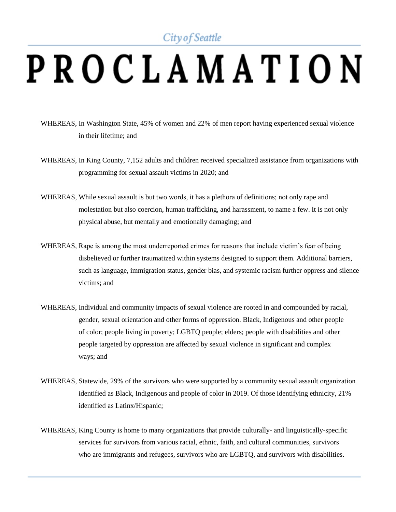## City of Seattle

## PROCLAMATION

- WHEREAS, In Washington State, 45% of women and 22% of men report having experienced sexual violence in their lifetime; and
- WHEREAS, In King County, 7,152 adults and children received specialized assistance from organizations with programming for sexual assault victims in 2020; and
- WHEREAS, While sexual assault is but two words, it has a plethora of definitions; not only rape and molestation but also coercion, human trafficking, and harassment, to name a few. It is not only physical abuse, but mentally and emotionally damaging; and
- WHEREAS, Rape is among the most underreported crimes for reasons that include victim's fear of being disbelieved or further traumatized within systems designed to support them. Additional barriers, such as language, immigration status, gender bias, and systemic racism further oppress and silence victims; and
- WHEREAS, Individual and community impacts of sexual violence are rooted in and compounded by racial, gender, sexual orientation and other forms of oppression. Black, Indigenous and other people of color; people living in poverty; LGBTQ people; elders; people with disabilities and other people targeted by oppression are affected by sexual violence in significant and complex ways; and
- WHEREAS, Statewide, 29% of the survivors who were supported by a community sexual assault organization identified as Black, Indigenous and people of color in 2019. Of those identifying ethnicity, 21% identified as Latinx/Hispanic;
- WHEREAS, King County is home to many organizations that provide culturally- and linguistically-specific services for survivors from various racial, ethnic, faith, and cultural communities, survivors who are immigrants and refugees, survivors who are LGBTQ, and survivors with disabilities.